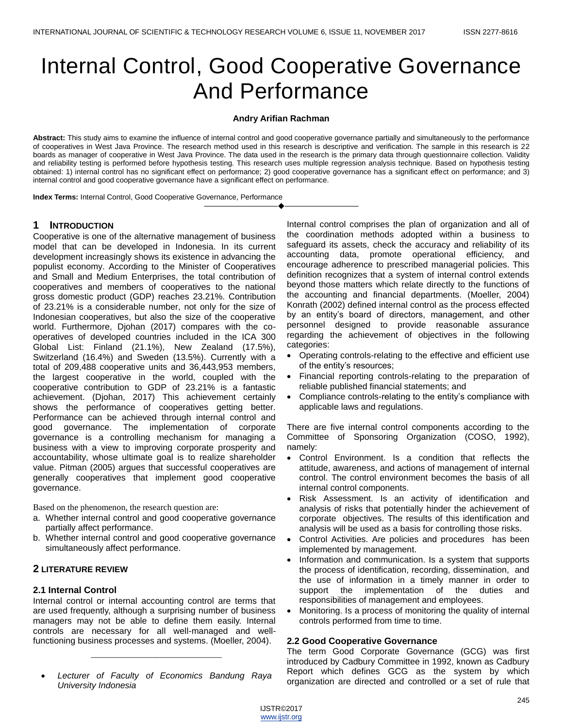# Internal Control, Good Cooperative Governance And Performance

#### **Andry Arifian Rachman**

**Abstract:** This study aims to examine the influence of internal control and good cooperative governance partially and simultaneously to the performance of cooperatives in West Java Province. The research method used in this research is descriptive and verification. The sample in this research is 22 boards as manager of cooperative in West Java Province. The data used in the research is the primary data through questionnaire collection. Validity and reliability testing is performed before hypothesis testing. This research uses multiple regression analysis technique. Based on hypothesis testing obtained: 1) internal control has no significant effect on performance; 2) good cooperative governance has a significant effect on performance; and 3) internal control and good cooperative governance have a significant effect on performance.

————————————————————

**Index Terms:** Internal Control, Good Cooperative Governance, Performance

## **1 INTRODUCTION**

Cooperative is one of the alternative management of business model that can be developed in Indonesia. In its current development increasingly shows its existence in advancing the populist economy. According to the Minister of Cooperatives and Small and Medium Enterprises, the total contribution of cooperatives and members of cooperatives to the national gross domestic product (GDP) reaches 23.21%. Contribution of 23.21% is a considerable number, not only for the size of Indonesian cooperatives, but also the size of the cooperative world. Furthermore, Djohan (2017) compares with the cooperatives of developed countries included in the ICA 300 Global List: Finland (21.1%), New Zealand (17.5%), Switzerland (16.4%) and Sweden (13.5%). Currently with a total of 209,488 cooperative units and 36,443,953 members, the largest cooperative in the world, coupled with the cooperative contribution to GDP of 23.21% is a fantastic achievement. (Djohan, 2017) This achievement certainly shows the performance of cooperatives getting better. Performance can be achieved through internal control and good governance. The implementation of corporate governance is a controlling mechanism for managing a business with a view to improving corporate prosperity and accountability, whose ultimate goal is to realize shareholder value. Pitman (2005) argues that successful cooperatives are generally cooperatives that implement good cooperative governance.

Based on the phenomenon, the research question are:

- a. Whether internal control and good cooperative governance partially affect performance.
- b. Whether internal control and good cooperative governance simultaneously affect performance.

## **2 LITERATURE REVIEW**

#### **2.1 Internal Control**

Internal control or internal accounting control are terms that are used frequently, although a surprising number of business managers may not be able to define them easily. Internal controls are necessary for all well-managed and wellfunctioning business processes and systems. (Moeller, 2004).

 *Lecturer of Faculty of Economics Bandung Raya University Indonesia*

\_\_\_\_\_\_\_\_\_\_\_\_\_\_\_\_\_\_\_\_\_\_\_\_\_\_\_\_\_\_

Internal control comprises the plan of organization and all of the coordination methods adopted within a business to safeguard its assets, check the accuracy and reliability of its accounting data, promote operational efficiency, and encourage adherence to prescribed managerial policies. This definition recognizes that a system of internal control extends beyond those matters which relate directly to the functions of the accounting and financial departments. (Moeller, 2004) Konrath (2002) defined internal control as the process effected by an entity's board of directors, management, and other personnel designed to provide reasonable assurance regarding the achievement of objectives in the following categories:

- Operating controls-relating to the effective and efficient use of the entity's resources;
- Financial reporting controls-relating to the preparation of reliable published financial statements; and
- Compliance controls-relating to the entity's compliance with applicable laws and regulations.

There are five internal control components according to the Committee of Sponsoring Organization (COSO, 1992), namely:

- Control Environment. Is a condition that reflects the attitude, awareness, and actions of management of internal control. The control environment becomes the basis of all internal control components.
- Risk Assessment. Is an activity of identification and analysis of risks that potentially hinder the achievement of corporate objectives. The results of this identification and analysis will be used as a basis for controlling those risks.
- Control Activities. Are policies and procedures has been implemented by management.
- Information and communication. Is a system that supports the process of identification, recording, dissemination, and the use of information in a timely manner in order to support the implementation of the duties and responsibilities of management and employees.
- Monitoring. Is a process of monitoring the quality of internal controls performed from time to time.

#### **2.2 Good Cooperative Governance**

The term Good Corporate Governance (GCG) was first introduced by Cadbury Committee in 1992, known as Cadbury Report which defines GCG as the system by which organization are directed and controlled or a set of rule that

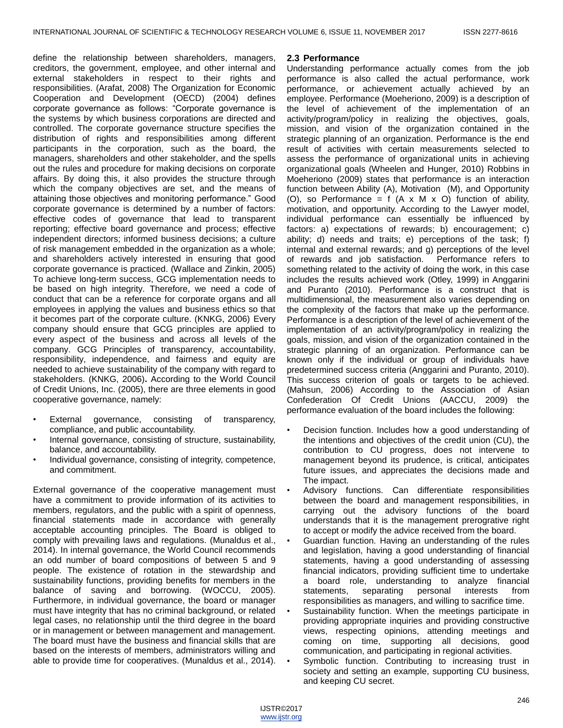define the relationship between shareholders, managers, creditors, the government, employee, and other internal and external stakeholders in respect to their rights and responsibilities. (Arafat, 2008) The Organization for Economic Cooperation and Development (OECD) (2004) defines corporate governance as follows: "Corporate governance is the systems by which business corporations are directed and controlled. The corporate governance structure specifies the distribution of rights and responsibilities among different participants in the corporation, such as the board, the managers, shareholders and other stakeholder, and the spells out the rules and procedure for making decisions on corporate affairs. By doing this, it also provides the structure through which the company objectives are set, and the means of attaining those objectives and monitoring performance." Good corporate governance is determined by a number of factors: effective codes of governance that lead to transparent reporting; effective board governance and process; effective independent directors; informed business decisions; a culture of risk management embedded in the organization as a whole; and shareholders actively interested in ensuring that good corporate governance is practiced. (Wallace and Zinkin, 2005) To achieve long-term success, GCG implementation needs to be based on high integrity. Therefore, we need a code of conduct that can be a reference for corporate organs and all employees in applying the values and business ethics so that it becomes part of the corporate culture. (KNKG, 2006) Every company should ensure that GCG principles are applied to every aspect of the business and across all levels of the company. GCG Principles of transparency, accountability, responsibility, independence, and fairness and equity are needed to achieve sustainability of the company with regard to stakeholders. (KNKG, 2006)**.** According to the World Council of Credit Unions, Inc. (2005), there are three elements in good cooperative governance, namely:

- External governance, consisting of transparency, compliance, and public accountability.
- Internal governance, consisting of structure, sustainability, balance, and accountability.
- Individual governance, consisting of integrity, competence, and commitment.

External governance of the cooperative management must have a commitment to provide information of its activities to members, regulators, and the public with a spirit of openness, financial statements made in accordance with generally acceptable accounting principles. The Board is obliged to comply with prevailing laws and regulations. (Munaldus et al., 2014). In internal governance, the World Council recommends an odd number of board compositions of between 5 and 9 people. The existence of rotation in the stewardship and sustainability functions, providing benefits for members in the balance of saving and borrowing. (WOCCU, 2005). Furthermore, in individual governance, the board or manager must have integrity that has no criminal background, or related legal cases, no relationship until the third degree in the board or in management or between management and management. The board must have the business and financial skills that are based on the interests of members, administrators willing and able to provide time for cooperatives. (Munaldus et al., 2014).

#### **2.3 Performance**

Understanding performance actually comes from the job performance is also called the actual performance, work performance, or achievement actually achieved by an employee. Performance (Moeheriono, 2009) is a description of the level of achievement of the implementation of an activity/program/policy in realizing the objectives, goals, mission, and vision of the organization contained in the strategic planning of an organization. Performance is the end result of activities with certain measurements selected to assess the performance of organizational units in achieving organizational goals (Wheelen and Hunger, 2010) Robbins in Moeheriono (2009) states that performance is an interaction function between Ability (A), Motivation (M), and Opportunity (O), so Performance = f  $(A \times M \times O)$  function of ability, motivation, and opportunity. According to the Lawyer model, individual performance can essentially be influenced by factors: a) expectations of rewards; b) encouragement; c) ability; d) needs and traits; e) perceptions of the task; f) internal and external rewards; and g) perceptions of the level of rewards and job satisfaction. Performance refers to something related to the activity of doing the work, in this case includes the results achieved work (Otley, 1999) in Anggarini and Puranto (2010). Performance is a construct that is multidimensional, the measurement also varies depending on the complexity of the factors that make up the performance. Performance is a description of the level of achievement of the implementation of an activity/program/policy in realizing the goals, mission, and vision of the organization contained in the strategic planning of an organization. Performance can be known only if the individual or group of individuals have predetermined success criteria (Anggarini and Puranto, 2010). This success criterion of goals or targets to be achieved. (Mahsun, 2006) According to the Association of Asian Confederation Of Credit Unions (AACCU, 2009) the performance evaluation of the board includes the following:

- Decision function. Includes how a good understanding of the intentions and objectives of the credit union (CU), the contribution to CU progress, does not intervene to management beyond its prudence, is critical, anticipates future issues, and appreciates the decisions made and The impact.
- Advisory functions. Can differentiate responsibilities between the board and management responsibilities, in carrying out the advisory functions of the board understands that it is the management prerogrative right to accept or modify the advice received from the board.
- Guardian function. Having an understanding of the rules and legislation, having a good understanding of financial statements, having a good understanding of assessing financial indicators, providing sufficient time to undertake a board role, understanding to analyze financial statements, separating personal interests from responsibilities as managers, and willing to sacrifice time.
- Sustainability function. When the meetings participate in providing appropriate inquiries and providing constructive views, respecting opinions, attending meetings and coming on time, supporting all decisions, good communication, and participating in regional activities.
- Symbolic function. Contributing to increasing trust in society and setting an example, supporting CU business, and keeping CU secret.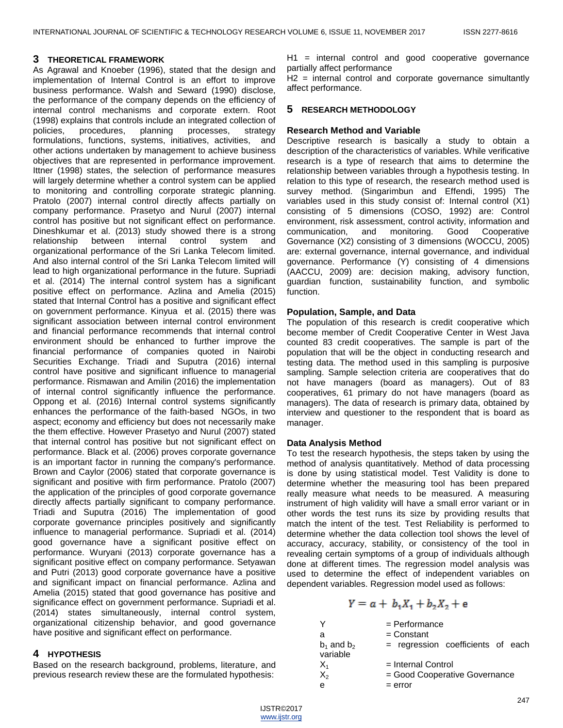### **3 THEORETICAL FRAMEWORK**

As Agrawal and Knoeber (1996), stated that the design and implementation of Internal Control is an effort to improve business performance. Walsh and Seward (1990) disclose, the performance of the company depends on the efficiency of internal control mechanisms and corporate extern. Root (1998) explains that controls include an integrated collection of policies, procedures, planning processes, strategy formulations, functions, systems, initiatives, activities, and other actions undertaken by management to achieve business objectives that are represented in performance improvement. Ittner (1998) states, the selection of performance measures will largely determine whether a control system can be applied to monitoring and controlling corporate strategic planning. Pratolo (2007) internal control directly affects partially on company performance. Prasetyo and Nurul (2007) internal control has positive but not significant effect on performance. Dineshkumar et al. (2013) study showed there is a strong relationship between internal control system and organizational performance of the Sri Lanka Telecom limited. And also internal control of the Sri Lanka Telecom limited will lead to high organizational performance in the future. Supriadi et al. (2014) The internal control system has a significant positive effect on performance. Azlina and Amelia (2015) stated that Internal Control has a positive and significant effect on government performance. Kinyua et al. (2015) there was significant association between internal control environment and financial performance recommends that internal control environment should be enhanced to further improve the financial performance of companies quoted in Nairobi Securities Exchange. Triadi and Suputra (2016) internal control have positive and significant influence to managerial performance. Rismawan and Amilin (2016) the implementation of internal control significantly influence the performance. Oppong et al. (2016) Internal control systems significantly enhances the performance of the faith-based NGOs, in two aspect; economy and efficiency but does not necessarily make the them effective. However Prasetyo and Nurul (2007) stated that internal control has positive but not significant effect on performance. Black et al. (2006) proves corporate governance is an important factor in running the company's performance. Brown and Caylor (2006) stated that corporate governance is significant and positive with firm performance. Pratolo (2007) the application of the principles of good corporate governance directly affects partially significant to company performance. Triadi and Suputra (2016) The implementation of good corporate governance principles positively and significantly influence to managerial performance. Supriadi et al. (2014) good governance have a significant positive effect on performance. Wuryani (2013) corporate governance has a significant positive effect on company performance. Setyawan and Putri (2013) good corporate governance have a positive and significant impact on financial performance. Azlina and Amelia (2015) stated that good governance has positive and significance effect on government performance. Supriadi et al. (2014) states simultaneously, internal control system, organizational citizenship behavior, and good governance have positive and significant effect on performance.

## **4 HYPOTHESIS**

Based on the research background, problems, literature, and previous research review these are the formulated hypothesis:

H1 = internal control and good cooperative governance partially affect performance

H2 = internal control and corporate governance simultantly affect performance.

## **5 RESEARCH METHODOLOGY**

#### **Research Method and Variable**

Descriptive research is basically a study to obtain a description of the characteristics of variables. While verificative research is a type of research that aims to determine the relationship between variables through a hypothesis testing. In relation to this type of research, the research method used is survey method. (Singarimbun and Effendi, 1995) The variables used in this study consist of: Internal control (X1) consisting of 5 dimensions (COSO, 1992) are: Control environment, risk assessment, control activity, information and communication, and monitoring. Good Cooperative Governance (X2) consisting of 3 dimensions (WOCCU, 2005) are: external governance, internal governance, and individual governance. Performance (Y) consisting of 4 dimensions (AACCU, 2009) are: decision making, advisory function, guardian function, sustainability function, and symbolic function.

#### **Population, Sample, and Data**

The population of this research is credit cooperative which become member of Credit Cooperative Center in West Java counted 83 credit cooperatives. The sample is part of the population that will be the object in conducting research and testing data. The method used in this sampling is purposive sampling. Sample selection criteria are cooperatives that do not have managers (board as managers). Out of 83 cooperatives, 61 primary do not have managers (board as managers). The data of research is primary data, obtained by interview and questioner to the respondent that is board as manager.

## **Data Analysis Method**

To test the research hypothesis, the steps taken by using the method of analysis quantitatively. Method of data processing is done by using statistical model. Test Validity is done to determine whether the measuring tool has been prepared really measure what needs to be measured. A measuring instrument of high validity will have a small error variant or in other words the test runs its size by providing results that match the intent of the test. Test Reliability is performed to determine whether the data collection tool shows the level of accuracy, accuracy, stability, or consistency of the tool in revealing certain symptoms of a group of individuals although done at different times. The regression model analysis was used to determine the effect of independent variables on dependent variables. Regression model used as follows:

$$
Y = a + b_1 X_1 + b_2 X_2 + e
$$

|                             | $=$ Performance                   |
|-----------------------------|-----------------------------------|
| а                           | $=$ Constant                      |
| $b_1$ and $b_2$<br>variable | = regression coefficients of each |
| $X_1$                       | $=$ Internal Control              |
| $X_2$                       | = Good Cooperative Governance     |
| е                           | $=$ error                         |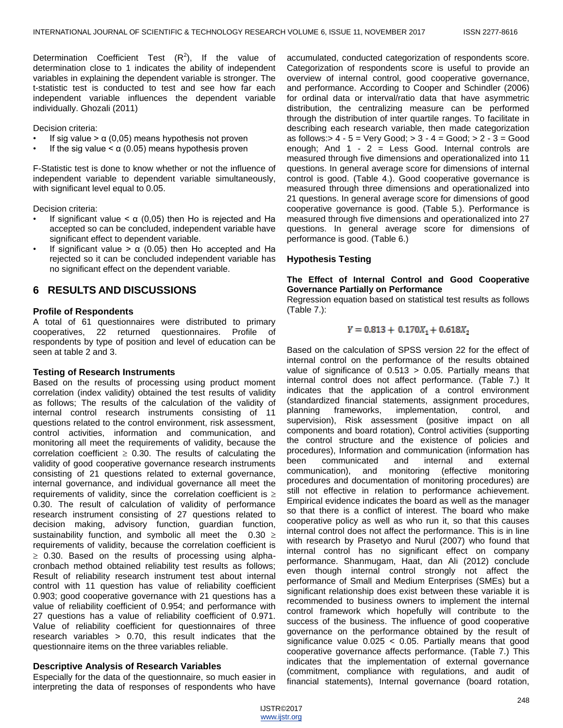Determination Coefficient Test  $(R^2)$ , If the value of determination close to 1 indicates the ability of independent variables in explaining the dependent variable is stronger. The t-statistic test is conducted to test and see how far each independent variable influences the dependent variable individually. Ghozali (2011)

Decision criteria:

- If sig value  $> \alpha$  (0,05) means hypothesis not proven
- If the sig value  $< \alpha$  (0.05) means hypothesis proven

F-Statistic test is done to know whether or not the influence of independent variable to dependent variable simultaneously, with significant level equal to 0.05.

Decision criteria:

- If significant value  $< \alpha$  (0,05) then Ho is rejected and Ha accepted so can be concluded, independent variable have significant effect to dependent variable.
- If significant value  $> \alpha$  (0.05) then Ho accepted and Ha rejected so it can be concluded independent variable has no significant effect on the dependent variable.

# **6 RESULTS AND DISCUSSIONS**

## **Profile of Respondents**

A total of 61 questionnaires were distributed to primary cooperatives, 22 returned questionnaires. Profile of respondents by type of position and level of education can be seen at table 2 and 3.

## **Testing of Research Instruments**

Based on the results of processing using product moment correlation (index validity) obtained the test results of validity as follows; The results of the calculation of the validity of internal control research instruments consisting of 11 questions related to the control environment, risk assessment, control activities, information and communication, and monitoring all meet the requirements of validity, because the correlation coefficient  $\geq 0.30$ . The results of calculating the validity of good cooperative governance research instruments consisting of 21 questions related to external governance, internal governance, and individual governance all meet the requirements of validity, since the correlation coefficient is  $\geq$ 0.30. The result of calculation of validity of performance research instrument consisting of 27 questions related to decision making, advisory function, guardian function, sustainability function, and symbolic all meet the  $0.30 \ge$ requirements of validity, because the correlation coefficient is  $\geq$  0.30. Based on the results of processing using alphacronbach method obtained reliability test results as follows; Result of reliability research instrument test about internal control with 11 question has value of reliability coefficient 0.903; good cooperative governance with 21 questions has a value of reliability coefficient of 0.954; and performance with 27 questions has a value of reliability coefficient of 0.971. Value of reliability coefficient for questionnaires of three research variables > 0.70, this result indicates that the questionnaire items on the three variables reliable.

## **Descriptive Analysis of Research Variables**

Especially for the data of the questionnaire, so much easier in interpreting the data of responses of respondents who have

accumulated, conducted categorization of respondents score. Categorization of respondents score is useful to provide an overview of internal control, good cooperative governance, and performance. According to Cooper and Schindler (2006) for ordinal data or interval/ratio data that have asymmetric distribution, the centralizing measure can be performed through the distribution of inter quartile ranges. To facilitate in describing each research variable, then made categorization as follows:  $4 - 5 = \text{Very Good}; 2 - 4 = \text{Good}; 2 - 3 = \text{Good}$ enough; And  $1 - 2 =$  Less Good. Internal controls are measured through five dimensions and operationalized into 11 questions. In general average score for dimensions of internal control is good. (Table 4.). Good cooperative governance is measured through three dimensions and operationalized into 21 questions. In general average score for dimensions of good cooperative governance is good. (Table 5.). Performance is measured through five dimensions and operationalized into 27 questions. In general average score for dimensions of performance is good. (Table 6.)

## **Hypothesis Testing**

#### **The Effect of Internal Control and Good Cooperative Governance Partially on Performance**

Regression equation based on statistical test results as follows (Table 7.):

$$
Y = 0.813 + 0.170X_1 + 0.618X_2
$$

Based on the calculation of SPSS version 22 for the effect of internal control on the performance of the results obtained value of significance of  $0.513 > 0.05$ . Partially means that internal control does not affect performance. (Table 7.) It indicates that the application of a control environment (standardized financial statements, assignment procedures, planning frameworks, implementation, control, and supervision), Risk assessment (positive impact on all components and board rotation), Control activities (supporting the control structure and the existence of policies and procedures), Information and communication (information has been communicated and internal and external communication), and monitoring (effective monitoring procedures and documentation of monitoring procedures) are still not effective in relation to performance achievement. Empirical evidence indicates the board as well as the manager so that there is a conflict of interest. The board who make cooperative policy as well as who run it, so that this causes internal control does not affect the performance. This is in line with research by Prasetyo and Nurul (2007) who found that internal control has no significant effect on company performance. Shanmugam, Haat, dan Ali (2012) conclude even though internal control strongly not affect the performance of Small and Medium Enterprises (SMEs) but a significant relationship does exist between these variable it is recommended to business owners to implement the internal control framework which hopefully will contribute to the success of the business. The influence of good cooperative governance on the performance obtained by the result of significance value 0.025 < 0.05. Partially means that good cooperative governance affects performance. (Table 7.) This indicates that the implementation of external governance (commitment, compliance with regulations, and audit of financial statements), Internal governance (board rotation,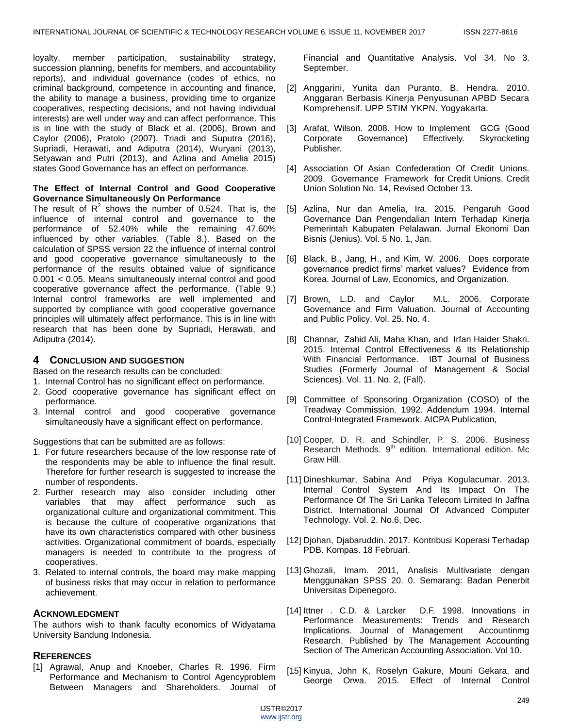loyalty, member participation, sustainability strategy, succession planning, benefits for members, and accountability reports), and individual governance (codes of ethics, no criminal background, competence in accounting and finance, the ability to manage a business, providing time to organize cooperatives, respecting decisions, and not having individual interests) are well under way and can affect performance. This is in line with the study of Black et al. (2006), Brown and Caylor (2006), Pratolo (2007), Triadi and Suputra (2016), Supriadi, Herawati, and Adiputra (2014), Wuryani (2013), Setyawan and Putri (2013), and Azlina and Amelia 2015) states Good Governance has an effect on performance.

#### **The Effect of Internal Control and Good Cooperative Governance Simultaneously On Performance**

The result of  $R^2$  shows the number of 0.524. That is, the influence of internal control and governance to the performance of 52.40% while the remaining 47.60% influenced by other variables. (Table 8.). Based on the calculation of SPSS version 22 the influence of internal control and good cooperative governance simultaneously to the performance of the results obtained value of significance 0.001 < 0.05. Means simultaneously internal control and good cooperative governance affect the performance. (Table 9.) Internal control frameworks are well implemented and supported by compliance with good cooperative governance principles will ultimately affect performance. This is in line with research that has been done by Supriadi, Herawati, and Adiputra (2014).

## **4 CONCLUSION AND SUGGESTION**

Based on the research results can be concluded:

- 1. Internal Control has no significant effect on performance.
- 2. Good cooperative governance has significant effect on performance.
- 3. Internal control and good cooperative governance simultaneously have a significant effect on performance.

Suggestions that can be submitted are as follows:

- 1. For future researchers because of the low response rate of the respondents may be able to influence the final result. Therefore for further research is suggested to increase the number of respondents.
- 2. Further research may also consider including other variables that may affect performance such as organizational culture and organizational commitment. This is because the culture of cooperative organizations that have its own characteristics compared with other business activities. Organizational commitment of boards, especially managers is needed to contribute to the progress of cooperatives.
- 3. Related to internal controls, the board may make mapping of business risks that may occur in relation to performance achievement.

## **ACKNOWLEDGMENT**

The authors wish to thank faculty economics of Widyatama University Bandung Indonesia.

## **REFERENCES**

[1] Agrawal, Anup and Knoeber, Charles R. 1996. Firm Performance and Mechanism to Control Agencyproblem Between Managers and Shareholders. Journal of Financial and Quantitative Analysis. Vol 34. No 3. September.

- [2] Anggarini, Yunita dan Puranto, B. Hendra. 2010. Anggaran Berbasis Kinerja Penyusunan APBD Secara Komprehensif. UPP STIM YKPN. Yogyakarta.
- [3] Arafat, Wilson. 2008. How to Implement GCG (Good Corporate Governance) Effectively. Skyrocketing Publisher.
- [4] Association Of Asian Confederation Of Credit Unions. 2009. Governance Framework for Credit Unions. Credit Union Solution No. 14, Revised October 13.
- [5] Azlina, Nur dan Amelia, Ira. 2015. Pengaruh Good Governance Dan Pengendalian Intern Terhadap Kinerja Pemerintah Kabupaten Pelalawan. Jurnal Ekonomi Dan Bisnis (Jenius). Vol. 5 No. 1, Jan.
- [6] Black, B., Jang, H., and Kim, W. 2006. Does corporate governance predict firms' market values? Evidence from Korea. Journal of Law, Economics, and Organization.
- [7] Brown, L.D. and Caylor M.L. 2006. Corporate Governance and Firm Valuation. Journal of Accounting and Public Policy. Vol. 25. No. 4.
- [8] Channar, Zahid Ali, Maha Khan, and Irfan Haider Shakri. 2015. Internal Control Effectiveness & Its Relationship With Financial Performance. IBT Journal of Business Studies (Formerly Journal of Management & Social Sciences). Vol. 11. No. 2, (Fall).
- [9] Committee of Sponsoring Organization (COSO) of the Treadway Commission. 1992. Addendum 1994. Internal Control-Integrated Framework. AICPA Publication,
- [10] Cooper, D. R. and Schindler, P. S. 2006. Business Research Methods. 9<sup>th</sup> edition. International edition. Mc Graw Hill.
- [11] Dineshkumar, Sabina And Priya Kogulacumar. 2013. Internal Control System And Its Impact On The Performance Of The Sri Lanka Telecom Limited In Jaffna District. International Journal Of Advanced Computer Technology. Vol. 2. No.6, Dec.
- [12] Djohan, Djabaruddin. 2017. Kontribusi Koperasi Terhadap PDB. Kompas. 18 Februari.
- [13] Ghozali, Imam. 2011, Analisis Multivariate dengan Menggunakan SPSS 20. 0. Semarang: Badan Penerbit Universitas Dipenegoro.
- [14] Ittner . C.D. & Larcker D.F. 1998. Innovations in Performance Measurements: Trends and Research Implications. Journal of Management Accountinmg Research. Published by The Management Accounting Section of The American Accounting Association. Vol 10.
- [15] Kinyua, John K, Roselyn Gakure, Mouni Gekara, and George Orwa. 2015. Effect of Internal Control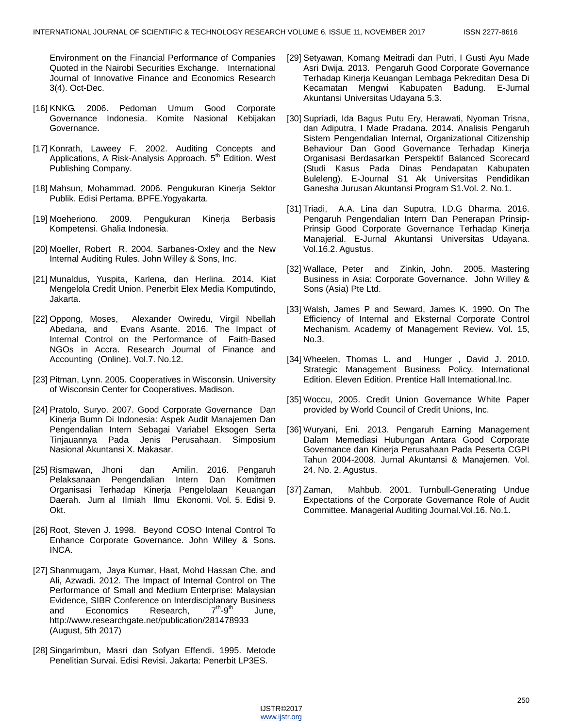Environment on the Financial Performance of Companies Quoted in the Nairobi Securities Exchange. International Journal of Innovative Finance and Economics Research 3(4). Oct-Dec.

- [16] KNKG. 2006. Pedoman Umum Good Corporate Governance Indonesia. Komite Nasional Kebijakan Governance.
- [17] Konrath, Laweey F. 2002. Auditing Concepts and Applications, A Risk-Analysis Approach. 5<sup>th</sup> Edition. West Publishing Company.
- [18] Mahsun, Mohammad. 2006. Pengukuran Kinerja Sektor Publik. Edisi Pertama. BPFE.Yogyakarta.
- [19] Moeheriono. 2009. Pengukuran Kinerja Berbasis Kompetensi. Ghalia Indonesia.
- [20] Moeller, Robert R. 2004. Sarbanes-Oxley and the New Internal Auditing Rules. John Willey & Sons, Inc.
- [21] Munaldus, Yuspita, Karlena, dan Herlina. 2014. Kiat Mengelola Credit Union. Penerbit Elex Media Komputindo, Jakarta.
- [22] Oppong, Moses, Alexander Owiredu, Virgil Nbellah Abedana, and Evans Asante. 2016. The Impact of Internal Control on the Performance of Faith-Based NGOs in Accra. Research Journal of Finance and Accounting (Online). Vol.7. No.12.
- [23] Pitman, Lynn. 2005. Cooperatives in Wisconsin. University of Wisconsin Center for Cooperatives. Madison.
- [24] Pratolo, Suryo. 2007. Good Corporate Governance Dan Kinerja Bumn Di Indonesia: Aspek Audit Manajemen Dan Pengendalian Intern Sebagai Variabel Eksogen Serta Tinjauannya Pada Jenis Perusahaan. Simposium Nasional Akuntansi X. Makasar.
- [25] Rismawan, Jhoni dan Amilin. 2016. Pengaruh Pelaksanaan Pengendalian Intern Dan Komitmen Organisasi Terhadap Kinerja Pengelolaan Keuangan Daerah. Jurn al Ilmiah Ilmu Ekonomi. Vol. 5. Edisi 9. Okt.
- [26] Root, Steven J. 1998. Beyond COSO Intenal Control To Enhance Corporate Governance. John Willey & Sons. INCA.
- [27] Shanmugam, Jaya Kumar, Haat, Mohd Hassan Che, and Ali, Azwadi. 2012. The Impact of Internal Control on The Performance of Small and Medium Enterprise: Malaysian Evidence, SIBR Conference on Interdisciplanary Business and Economics Research,  $7<sup>th</sup> - 9<sup>th</sup>$ June, http://www.researchgate.net/publication/281478933 (August, 5th 2017)
- [28] Singarimbun, Masri dan Sofyan Effendi. 1995. Metode Penelitian Survai. Edisi Revisi. Jakarta: Penerbit LP3ES.
- [29] Setyawan, Komang Meitradi dan Putri, I Gusti Ayu Made Asri Dwija. 2013. Pengaruh Good Corporate Governance Terhadap Kinerja Keuangan Lembaga Pekreditan Desa Di Kecamatan Mengwi Kabupaten Badung. E-Jurnal Akuntansi Universitas Udayana 5.3.
- [30] Supriadi, Ida Bagus Putu Ery, Herawati, Nyoman Trisna, dan Adiputra, I Made Pradana. 2014. Analisis Pengaruh Sistem Pengendalian Internal, Organizational Citizenship Behaviour Dan Good Governance Terhadap Kinerja Organisasi Berdasarkan Perspektif Balanced Scorecard (Studi Kasus Pada Dinas Pendapatan Kabupaten Buleleng). E-Journal S1 Ak Universitas Pendidikan Ganesha Jurusan Akuntansi Program S1.Vol. 2. No.1.
- [31] Triadi, A.A. Lina dan Suputra, I.D.G Dharma. 2016. Pengaruh Pengendalian Intern Dan Penerapan Prinsip-Prinsip Good Corporate Governance Terhadap Kinerja Manajerial. E-Jurnal Akuntansi Universitas Udayana. Vol.16.2. Agustus.
- [32] Wallace, Peter and Zinkin, John. 2005. Mastering Business in Asia: Corporate Governance. John Willey & Sons (Asia) Pte Ltd.
- [33] Walsh, James P and Seward, James K. 1990. On The Efficiency of Internal and Eksternal Corporate Control Mechanism. Academy of Management Review. Vol. 15, No.3.
- [34] Wheelen, Thomas L. and Hunger , David J. 2010. Strategic Management Business Policy. International Edition. Eleven Edition. Prentice Hall International.Inc.
- [35] Woccu, 2005. Credit Union Governance White Paper provided by World Council of Credit Unions, Inc.
- [36] Wuryani, Eni. 2013. Pengaruh Earning Management Dalam Memediasi Hubungan Antara Good Corporate Governance dan Kinerja Perusahaan Pada Peserta CGPI Tahun 2004-2008. Jurnal Akuntansi & Manajemen. Vol. 24. No. 2. Agustus.
- [37] Zaman, Mahbub. 2001. Turnbull-Generating Undue Expectations of the Corporate Governance Role of Audit Committee. Managerial Auditing Journal.Vol.16. No.1.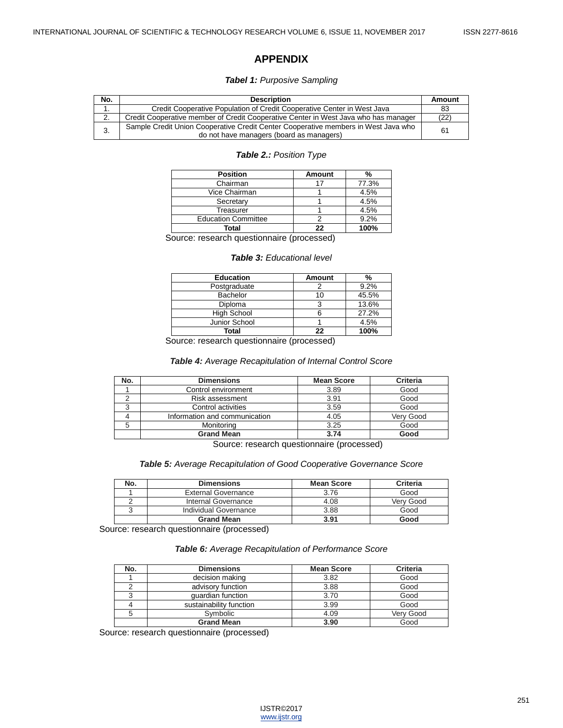## **APPENDIX**

#### *Tabel 1: Purposive Sampling*

| No. | <b>Description</b>                                                                                                             | Amount |
|-----|--------------------------------------------------------------------------------------------------------------------------------|--------|
| . . | Credit Cooperative Population of Credit Cooperative Center in West Java                                                        | 83     |
| 2.  | Credit Cooperative member of Credit Cooperative Center in West Java who has manager                                            | (22)   |
| 3.  | Sample Credit Union Cooperative Credit Center Cooperative members in West Java who<br>do not have managers (board as managers) | 61     |

#### *Table 2.: Position Type*

| <b>Position</b>            | <b>Amount</b> | %     |
|----------------------------|---------------|-------|
| Chairman                   |               | 77.3% |
| Vice Chairman              |               | 4.5%  |
| Secretary                  |               | 4.5%  |
| Treasurer                  |               | 4.5%  |
| <b>Education Committee</b> |               | 9.2%  |
| Total                      | つつ            | 100%  |

Source: research questionnaire (processed)

## *Table 3: Educational level*

| <b>Education</b>   | Amount | %     |
|--------------------|--------|-------|
| Postgraduate       |        | 9.2%  |
| <b>Bachelor</b>    | 10     | 45.5% |
| <b>Diploma</b>     | 3      | 13.6% |
| <b>High School</b> |        | 27.2% |
| Junior School      |        | 4.5%  |
| Total              | 22     | 100%  |

Source: research questionnaire (processed)

#### *Table 4: Average Recapitulation of Internal Control Score*

| No. | <b>Dimensions</b>             | <b>Mean Score</b> | <b>Criteria</b> |
|-----|-------------------------------|-------------------|-----------------|
|     | Control environment           | 3.89              | Good            |
|     | Risk assessment               | 3.91              | Good            |
|     | Control activities            | 3.59              | Good            |
|     | Information and communication | 4.05              | Verv Good       |
| 5   | Monitoring                    | 3.25              | Good            |
|     | <b>Grand Mean</b>             | 3.74              | Good            |

Source: research questionnaire (processed)

*Table 5: Average Recapitulation of Good Cooperative Governance Score*

| No. | <b>Dimensions</b>          | <b>Mean Score</b> | Criteria  |  |
|-----|----------------------------|-------------------|-----------|--|
|     | <b>External Governance</b> | 3.76              | Good      |  |
|     | Internal Governance        | 4.08              | Verv Good |  |
|     | Individual Governance      | 3.88              | Good      |  |
|     | <b>Grand Mean</b>          | 3.91              | Good      |  |

Source: research questionnaire (processed)

*Table 6: Average Recapitulation of Performance Score*

| No. | <b>Dimensions</b>       | <b>Mean Score</b> | <b>Criteria</b> |
|-----|-------------------------|-------------------|-----------------|
|     | decision making         | 3.82              | Good            |
|     | advisory function       | 3.88              | Good            |
|     | quardian function       | 3.70              | Good            |
|     | sustainability function | 3.99              | Good            |
|     | Svmbolic                | 4.09              | Verv Good       |
|     | <b>Grand Mean</b>       | 3.90              | Good            |

Source: research questionnaire (processed)